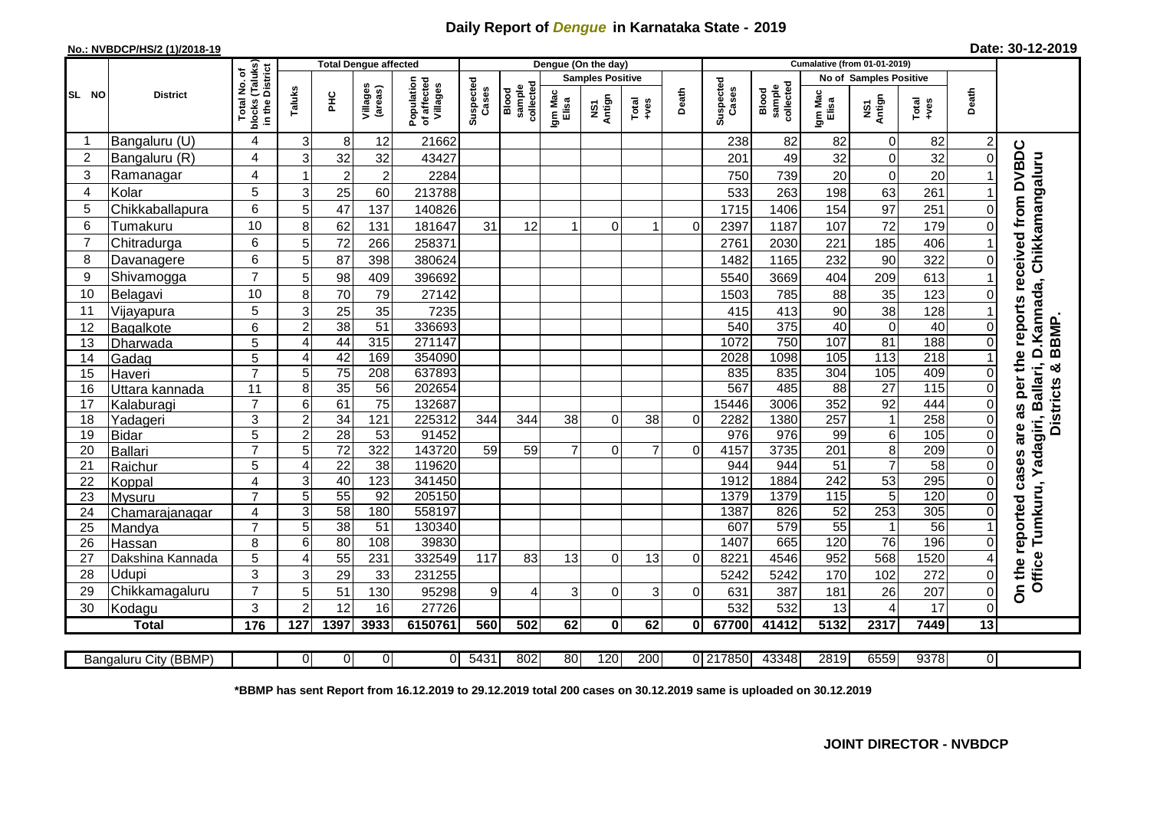## **Daily Report of** *Dengue* **in Karnataka State - 2019**

## **No.: NVBDCP/HS/2 (1)/2018-19**

| Date: 30-12-2019 |  |  |  |
|------------------|--|--|--|
|------------------|--|--|--|

|                |                           |                               |                                   | Dengue (On the day)<br><b>Cumalative (from 01-01-2019)</b><br><b>Total Dengue affected</b> |                     |                                       |                    |                              |                  |                         |                |             |                    |                              |                  |                               |                   |                |                                              |
|----------------|---------------------------|-------------------------------|-----------------------------------|--------------------------------------------------------------------------------------------|---------------------|---------------------------------------|--------------------|------------------------------|------------------|-------------------------|----------------|-------------|--------------------|------------------------------|------------------|-------------------------------|-------------------|----------------|----------------------------------------------|
|                |                           | (Taluks)<br>District<br>৳     |                                   |                                                                                            |                     |                                       |                    |                              |                  | <b>Samples Positive</b> |                |             |                    |                              |                  | <b>No of Samples Positive</b> |                   |                |                                              |
| SL NO          | <b>District</b>           | Total No.<br>blocks<br>in the | Taluks                            | <b>PHC</b>                                                                                 | Villages<br>(areas) | Population<br>of affected<br>Villages | Suspected<br>Cases | sample<br>collected<br>Blood | Igm Mac<br>Elisa | NS1<br>Antign           | Total<br>+ves  | Death       | Suspected<br>Cases | collected<br>sample<br>Blood | Igm Mac<br>Elisa | NS1<br>Antign                 | Total<br>+ves     | Death          |                                              |
|                | Bangaluru (U)             | 4                             | 3                                 | 8                                                                                          | 12                  | 21662                                 |                    |                              |                  |                         |                |             | 238                | 82                           | 82               | $\mathbf 0$                   | 82                | $\overline{c}$ |                                              |
| $\overline{c}$ | Bangaluru (R)             | 4                             | 3                                 | 32                                                                                         | 32                  | 43427                                 |                    |                              |                  |                         |                |             | 201                | 49                           | 32               | $\mathbf 0$                   | 32                | $\mathbf 0$    | received from DVBDC                          |
| 3              | Ramanagar                 | 4                             |                                   | $\overline{c}$                                                                             | $\overline{c}$      | 2284                                  |                    |                              |                  |                         |                |             | 750                | 739                          | 20               | $\mathbf 0$                   | 20                |                | D.Kannada, Chikkamangaluru                   |
| 4              | Kolar                     | 5                             | 3                                 | 25                                                                                         | 60                  | 213788                                |                    |                              |                  |                         |                |             | 533                | 263                          | 198              | 63                            | 261               |                |                                              |
| 5              | Chikkaballapura           | 6                             | 5                                 | 47                                                                                         | 137                 | 140826                                |                    |                              |                  |                         |                |             | 1715               | 1406                         | 154              | 97                            | 251               | 0              |                                              |
| 6              | Tumakuru                  | 10                            | 8                                 | 62                                                                                         | 131                 | 181647                                | 31                 | 12                           | 1                | $\Omega$                | 1              | $\mathbf 0$ | 2397               | 1187                         | 107              | 72                            | 179               |                |                                              |
| 7              | Chitradurga               | 6                             | 5                                 | 72                                                                                         | 266                 | 258371                                |                    |                              |                  |                         |                |             | 2761               | 2030                         | 221              | 185                           | 406               |                |                                              |
| 8              | Davanagere                | 6                             | 5                                 | 87                                                                                         | 398                 | 380624                                |                    |                              |                  |                         |                |             | 1482               | 1165                         | 232              | 90                            | 322               | 0              |                                              |
| 9              | Shivamogga                | $\overline{7}$                | 5                                 | 98                                                                                         | 409                 | 396692                                |                    |                              |                  |                         |                |             | 5540               | 3669                         | 404              | 209                           | 613               |                |                                              |
| 10             | Belagavi                  | 10                            | 8                                 | 70                                                                                         | 79                  | 27142                                 |                    |                              |                  |                         |                |             | 1503               | 785                          | 88               | 35                            | 123               |                |                                              |
| 11             | Vijayapura                | 5                             | 3                                 | 25                                                                                         | 35                  | 7235                                  |                    |                              |                  |                         |                |             | 415                | 413                          | 90               | 38                            | 128               |                | reports                                      |
| 12             | Bagalkote                 | 6                             | $\overline{2}$                    | 38                                                                                         | $\overline{51}$     | 336693                                |                    |                              |                  |                         |                |             | 540                | 375                          | 40               | $\overline{0}$                | 40                | 0              | BBMP.                                        |
| 13             | Dharwada                  | 5                             | $\overline{4}$                    | 44                                                                                         | 315                 | 271147                                |                    |                              |                  |                         |                |             | 1072               | 750                          | 107              | 81                            | 188               | 0              |                                              |
| 14             | Gadag                     | $\overline{5}$                | $\overline{4}$                    | 42                                                                                         | 169                 | 354090                                |                    |                              |                  |                         |                |             | 2028               | 1098                         | 105              | 113                           | 218               |                |                                              |
| 15             | Haveri                    | $\overline{7}$                | 5                                 | $\overline{75}$                                                                            | 208                 | 637893                                |                    |                              |                  |                         |                |             | 835                | 835                          | $\overline{304}$ | 105                           | 409               | 0              | ×                                            |
| 16             | Uttara kannada            | 11                            | 8                                 | 35                                                                                         | $\overline{56}$     | 202654                                |                    |                              |                  |                         |                |             | 567                | 485                          | $\overline{88}$  | $\overline{27}$               | $\frac{115}{115}$ | 0              | as per the<br>allari,<br><b>Districts</b>    |
| 17             | Kalaburagi                | $\overline{7}$                | 6                                 | 61                                                                                         | $\overline{75}$     | 132687                                |                    |                              |                  |                         |                |             | 15446              | 3006                         | 352              | 92                            | 444               | $\overline{0}$ |                                              |
| 18             | Yadageri                  | 3                             | $\overline{2}$                    | 34                                                                                         | 121                 | 225312                                | 344                | 344                          | 38               | $\Omega$                | 38             | $\Omega$    | 2282               | 1380                         | $\overline{257}$ | $\mathbf{1}$                  | 258               | 0              |                                              |
| 19             | <b>Bidar</b>              | 5                             | $\overline{c}$                    | 28                                                                                         | 53                  | 91452                                 |                    |                              |                  |                         |                |             | $\overline{976}$   | 976                          | 99               | 6                             | 105               | $\Omega$       | are                                          |
| 20             | Ballari                   | $\overline{7}$                | $\overline{5}$                    | $\overline{72}$                                                                            | 322                 | 143720                                | 59                 | $\overline{59}$              | $\overline{7}$   | $\Omega$                | $\overline{7}$ | $\Omega$    | 4157               | 3735                         | 201              | $\overline{8}$                | 209               | $\Omega$       |                                              |
| 21             | Raichur                   | 5                             | $\overline{4}$                    | $\overline{22}$                                                                            | 38                  | 119620                                |                    |                              |                  |                         |                |             | 944                | 944                          | $\overline{51}$  | $\overline{7}$                | $\overline{58}$   | $\Omega$       | Yadagiri, B                                  |
| 22             | Koppal                    | $\overline{4}$                | 3                                 | 40                                                                                         | 123                 | 341450                                |                    |                              |                  |                         |                |             | 1912               | 1884                         | $\overline{242}$ | 53                            | 295               | $\Omega$       |                                              |
| 23             | Mysuru                    | $\overline{7}$                | 5                                 | 55                                                                                         | 92                  | 205150                                |                    |                              |                  |                         |                |             | 1379               | 1379                         | 115              | 5                             | 120               | 0              |                                              |
| 24             | Chamarajanagar            | 4                             | 3                                 | $\overline{58}$                                                                            | 180                 | 558197                                |                    |                              |                  |                         |                |             | 1387               | 826                          | 52               | 253                           | 305               |                |                                              |
| 25             | Mandya                    | $\overline{7}$                | 5                                 | $\overline{38}$                                                                            | 51<br>108           | 130340                                |                    |                              |                  |                         |                |             | 607                | 579                          | $\overline{55}$  | $\mathbf{1}$<br>76            | $\overline{56}$   |                | Tumkuru,                                     |
| 26             | Hassan                    | 8                             | $6\phantom{1}6$<br>$\overline{4}$ | 80<br>55                                                                                   | 231                 | 39830<br>332549                       | 117                | 83                           | 13               | $\Omega$                | 13             | $\Omega$    | 1407<br>8221       | 665<br>4546                  | 120<br>952       | 568                           | 196<br>1520       | 0<br>⊿         |                                              |
| 27<br>28       | Dakshina Kannada<br>Udupi | 5<br>3                        | 3                                 | 29                                                                                         | 33                  | 231255                                |                    |                              |                  |                         |                |             | 5242               | 5242                         | 170              | 102                           | 272               | 0              | On the reported cases<br>Office <sup>-</sup> |
| 29             | Chikkamagaluru            | $\overline{7}$                | 5                                 | 51                                                                                         | 130                 | 95298                                 | $\overline{9}$     | 4                            | 3                | $\Omega$                | 3              | $\Omega$    | 631                | 387                          | 181              | 26                            | 207               | $\Omega$       |                                              |
| 30             | Kodagu                    | 3                             | $\overline{2}$                    | 12                                                                                         | 16                  | 27726                                 |                    |                              |                  |                         |                |             | 532                | 532                          | 13               | $\overline{4}$                | 17                | $\Omega$       |                                              |
|                | <b>Total</b>              | 176                           | 127                               | 1397                                                                                       | 3933                | 6150761                               | 560                | 502                          | 62               | $\mathbf{0}$            | 62             | 0I          | 67700              | 41412                        | 5132             | 2317                          | 7449              | $\overline{a}$ |                                              |
|                |                           |                               |                                   |                                                                                            |                     |                                       |                    |                              |                  |                         |                |             |                    |                              |                  |                               |                   |                |                                              |
|                | Bangaluru City (BBMP)     |                               | $\overline{0}$                    | $\overline{0}$                                                                             | $\overline{0}$      | $\Omega$                              | 5431               | 802                          | 80               | 120                     | 200            |             | 0 217850           | 43348                        | 2819             | 6559                          | 9378              | ΟI             |                                              |

**\*BBMP has sent Report from 16.12.2019 to 29.12.2019 total 200 cases on 30.12.2019 same is uploaded on 30.12.2019**